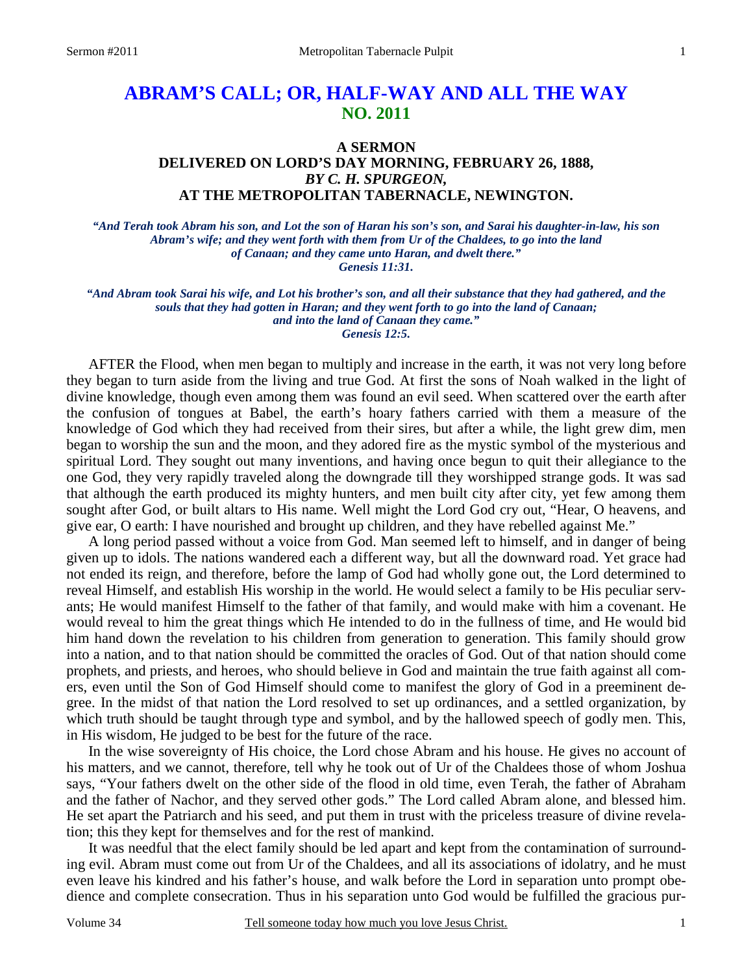# **ABRAM'S CALL; OR, HALF-WAY AND ALL THE WAY NO. 2011**

## **A SERMON DELIVERED ON LORD'S DAY MORNING, FEBRUARY 26, 1888,** *BY C. H. SPURGEON,*  **AT THE METROPOLITAN TABERNACLE, NEWINGTON.**

*"And Terah took Abram his son, and Lot the son of Haran his son's son, and Sarai his daughter-in-law, his son Abram's wife; and they went forth with them from Ur of the Chaldees, to go into the land of Canaan; and they came unto Haran, and dwelt there." Genesis 11:31.* 

*"And Abram took Sarai his wife, and Lot his brother's son, and all their substance that they had gathered, and the souls that they had gotten in Haran; and they went forth to go into the land of Canaan; and into the land of Canaan they came." Genesis 12:5.* 

AFTER the Flood, when men began to multiply and increase in the earth, it was not very long before they began to turn aside from the living and true God. At first the sons of Noah walked in the light of divine knowledge, though even among them was found an evil seed. When scattered over the earth after the confusion of tongues at Babel, the earth's hoary fathers carried with them a measure of the knowledge of God which they had received from their sires, but after a while, the light grew dim, men began to worship the sun and the moon, and they adored fire as the mystic symbol of the mysterious and spiritual Lord. They sought out many inventions, and having once begun to quit their allegiance to the one God, they very rapidly traveled along the downgrade till they worshipped strange gods. It was sad that although the earth produced its mighty hunters, and men built city after city, yet few among them sought after God, or built altars to His name. Well might the Lord God cry out, "Hear, O heavens, and give ear, O earth: I have nourished and brought up children, and they have rebelled against Me."

A long period passed without a voice from God. Man seemed left to himself, and in danger of being given up to idols. The nations wandered each a different way, but all the downward road. Yet grace had not ended its reign, and therefore, before the lamp of God had wholly gone out, the Lord determined to reveal Himself, and establish His worship in the world. He would select a family to be His peculiar servants; He would manifest Himself to the father of that family, and would make with him a covenant. He would reveal to him the great things which He intended to do in the fullness of time, and He would bid him hand down the revelation to his children from generation to generation. This family should grow into a nation, and to that nation should be committed the oracles of God. Out of that nation should come prophets, and priests, and heroes, who should believe in God and maintain the true faith against all comers, even until the Son of God Himself should come to manifest the glory of God in a preeminent degree. In the midst of that nation the Lord resolved to set up ordinances, and a settled organization, by which truth should be taught through type and symbol, and by the hallowed speech of godly men. This, in His wisdom, He judged to be best for the future of the race.

In the wise sovereignty of His choice, the Lord chose Abram and his house. He gives no account of his matters, and we cannot, therefore, tell why he took out of Ur of the Chaldees those of whom Joshua says, "Your fathers dwelt on the other side of the flood in old time, even Terah, the father of Abraham and the father of Nachor, and they served other gods." The Lord called Abram alone, and blessed him. He set apart the Patriarch and his seed, and put them in trust with the priceless treasure of divine revelation; this they kept for themselves and for the rest of mankind.

It was needful that the elect family should be led apart and kept from the contamination of surrounding evil. Abram must come out from Ur of the Chaldees, and all its associations of idolatry, and he must even leave his kindred and his father's house, and walk before the Lord in separation unto prompt obedience and complete consecration. Thus in his separation unto God would be fulfilled the gracious pur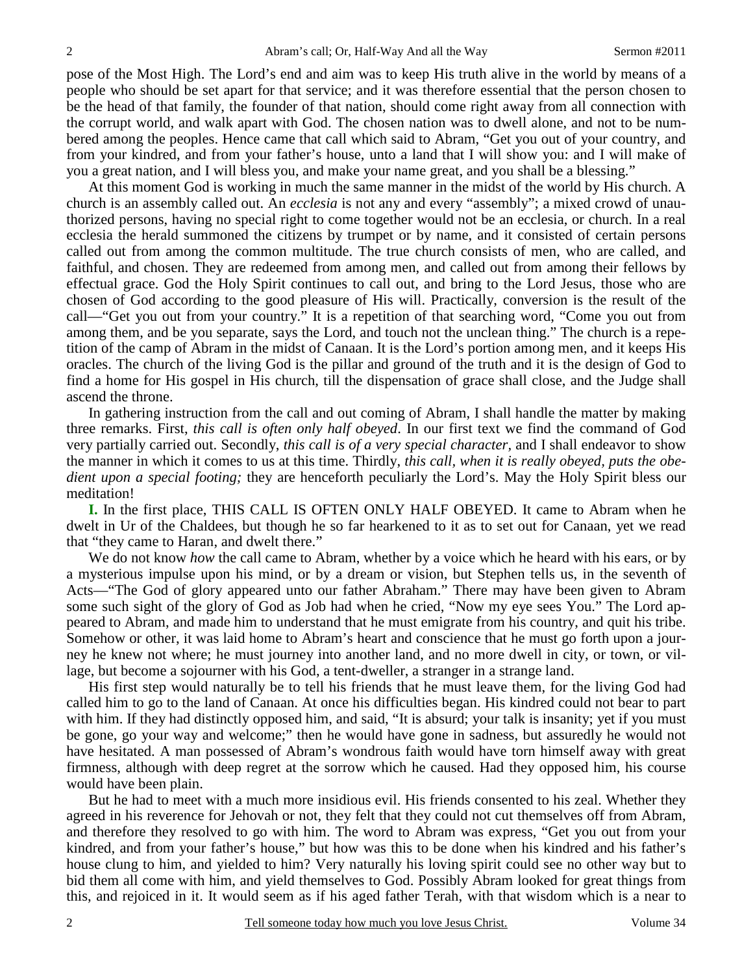pose of the Most High. The Lord's end and aim was to keep His truth alive in the world by means of a people who should be set apart for that service; and it was therefore essential that the person chosen to be the head of that family, the founder of that nation, should come right away from all connection with the corrupt world, and walk apart with God. The chosen nation was to dwell alone, and not to be numbered among the peoples. Hence came that call which said to Abram, "Get you out of your country, and from your kindred, and from your father's house, unto a land that I will show you: and I will make of you a great nation, and I will bless you, and make your name great, and you shall be a blessing."

At this moment God is working in much the same manner in the midst of the world by His church. A church is an assembly called out. An *ecclesia* is not any and every "assembly"; a mixed crowd of unauthorized persons, having no special right to come together would not be an ecclesia, or church. In a real ecclesia the herald summoned the citizens by trumpet or by name, and it consisted of certain persons called out from among the common multitude. The true church consists of men, who are called, and faithful, and chosen. They are redeemed from among men, and called out from among their fellows by effectual grace. God the Holy Spirit continues to call out, and bring to the Lord Jesus, those who are chosen of God according to the good pleasure of His will. Practically, conversion is the result of the call—"Get you out from your country." It is a repetition of that searching word, "Come you out from among them, and be you separate, says the Lord, and touch not the unclean thing." The church is a repetition of the camp of Abram in the midst of Canaan. It is the Lord's portion among men, and it keeps His oracles. The church of the living God is the pillar and ground of the truth and it is the design of God to find a home for His gospel in His church, till the dispensation of grace shall close, and the Judge shall ascend the throne.

In gathering instruction from the call and out coming of Abram, I shall handle the matter by making three remarks. First, *this call is often only half obeyed*. In our first text we find the command of God very partially carried out. Secondly, *this call is of a very special character,* and I shall endeavor to show the manner in which it comes to us at this time. Thirdly, *this call, when it is really obeyed, puts the obedient upon a special footing;* they are henceforth peculiarly the Lord's. May the Holy Spirit bless our meditation!

**I.** In the first place, THIS CALL IS OFTEN ONLY HALF OBEYED. It came to Abram when he dwelt in Ur of the Chaldees, but though he so far hearkened to it as to set out for Canaan, yet we read that "they came to Haran, and dwelt there."

We do not know *how* the call came to Abram, whether by a voice which he heard with his ears, or by a mysterious impulse upon his mind, or by a dream or vision, but Stephen tells us, in the seventh of Acts—"The God of glory appeared unto our father Abraham." There may have been given to Abram some such sight of the glory of God as Job had when he cried, "Now my eye sees You." The Lord appeared to Abram, and made him to understand that he must emigrate from his country, and quit his tribe. Somehow or other, it was laid home to Abram's heart and conscience that he must go forth upon a journey he knew not where; he must journey into another land, and no more dwell in city, or town, or village, but become a sojourner with his God, a tent-dweller, a stranger in a strange land.

His first step would naturally be to tell his friends that he must leave them, for the living God had called him to go to the land of Canaan. At once his difficulties began. His kindred could not bear to part with him. If they had distinctly opposed him, and said, "It is absurd; your talk is insanity; yet if you must be gone, go your way and welcome;" then he would have gone in sadness, but assuredly he would not have hesitated. A man possessed of Abram's wondrous faith would have torn himself away with great firmness, although with deep regret at the sorrow which he caused. Had they opposed him, his course would have been plain.

But he had to meet with a much more insidious evil. His friends consented to his zeal. Whether they agreed in his reverence for Jehovah or not, they felt that they could not cut themselves off from Abram, and therefore they resolved to go with him. The word to Abram was express, "Get you out from your kindred, and from your father's house," but how was this to be done when his kindred and his father's house clung to him, and yielded to him? Very naturally his loving spirit could see no other way but to bid them all come with him, and yield themselves to God. Possibly Abram looked for great things from this, and rejoiced in it. It would seem as if his aged father Terah, with that wisdom which is a near to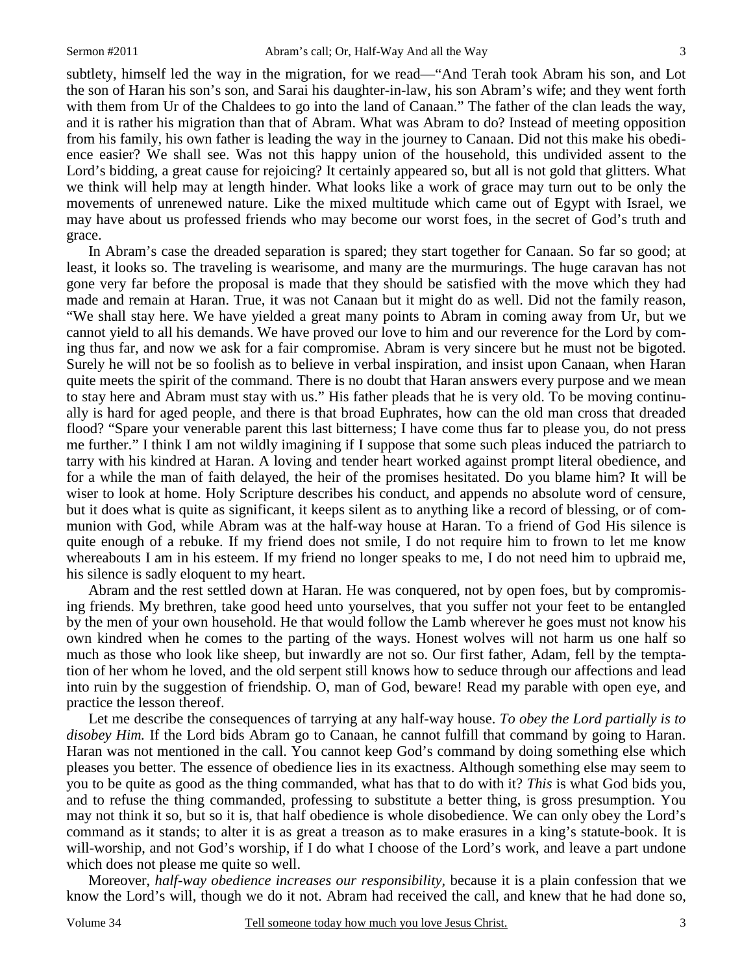subtlety, himself led the way in the migration, for we read—"And Terah took Abram his son, and Lot the son of Haran his son's son, and Sarai his daughter-in-law, his son Abram's wife; and they went forth with them from Ur of the Chaldees to go into the land of Canaan." The father of the clan leads the way, and it is rather his migration than that of Abram. What was Abram to do? Instead of meeting opposition from his family, his own father is leading the way in the journey to Canaan. Did not this make his obedience easier? We shall see. Was not this happy union of the household, this undivided assent to the Lord's bidding, a great cause for rejoicing? It certainly appeared so, but all is not gold that glitters. What we think will help may at length hinder. What looks like a work of grace may turn out to be only the movements of unrenewed nature. Like the mixed multitude which came out of Egypt with Israel, we may have about us professed friends who may become our worst foes, in the secret of God's truth and grace.

In Abram's case the dreaded separation is spared; they start together for Canaan. So far so good; at least, it looks so. The traveling is wearisome, and many are the murmurings. The huge caravan has not gone very far before the proposal is made that they should be satisfied with the move which they had made and remain at Haran. True, it was not Canaan but it might do as well. Did not the family reason, "We shall stay here. We have yielded a great many points to Abram in coming away from Ur, but we cannot yield to all his demands. We have proved our love to him and our reverence for the Lord by coming thus far, and now we ask for a fair compromise. Abram is very sincere but he must not be bigoted. Surely he will not be so foolish as to believe in verbal inspiration, and insist upon Canaan, when Haran quite meets the spirit of the command. There is no doubt that Haran answers every purpose and we mean to stay here and Abram must stay with us." His father pleads that he is very old. To be moving continually is hard for aged people, and there is that broad Euphrates, how can the old man cross that dreaded flood? "Spare your venerable parent this last bitterness; I have come thus far to please you, do not press me further." I think I am not wildly imagining if I suppose that some such pleas induced the patriarch to tarry with his kindred at Haran. A loving and tender heart worked against prompt literal obedience, and for a while the man of faith delayed, the heir of the promises hesitated. Do you blame him? It will be wiser to look at home. Holy Scripture describes his conduct, and appends no absolute word of censure, but it does what is quite as significant, it keeps silent as to anything like a record of blessing, or of communion with God, while Abram was at the half-way house at Haran. To a friend of God His silence is quite enough of a rebuke. If my friend does not smile, I do not require him to frown to let me know whereabouts I am in his esteem. If my friend no longer speaks to me, I do not need him to upbraid me, his silence is sadly eloquent to my heart.

Abram and the rest settled down at Haran. He was conquered, not by open foes, but by compromising friends. My brethren, take good heed unto yourselves, that you suffer not your feet to be entangled by the men of your own household. He that would follow the Lamb wherever he goes must not know his own kindred when he comes to the parting of the ways. Honest wolves will not harm us one half so much as those who look like sheep, but inwardly are not so. Our first father, Adam, fell by the temptation of her whom he loved, and the old serpent still knows how to seduce through our affections and lead into ruin by the suggestion of friendship. O, man of God, beware! Read my parable with open eye, and practice the lesson thereof.

Let me describe the consequences of tarrying at any half-way house. *To obey the Lord partially is to disobey Him.* If the Lord bids Abram go to Canaan, he cannot fulfill that command by going to Haran. Haran was not mentioned in the call. You cannot keep God's command by doing something else which pleases you better. The essence of obedience lies in its exactness. Although something else may seem to you to be quite as good as the thing commanded, what has that to do with it? *This* is what God bids you, and to refuse the thing commanded, professing to substitute a better thing, is gross presumption. You may not think it so, but so it is, that half obedience is whole disobedience. We can only obey the Lord's command as it stands; to alter it is as great a treason as to make erasures in a king's statute-book. It is will-worship, and not God's worship, if I do what I choose of the Lord's work, and leave a part undone which does not please me quite so well.

Moreover, *half-way obedience increases our responsibility,* because it is a plain confession that we know the Lord's will, though we do it not. Abram had received the call, and knew that he had done so,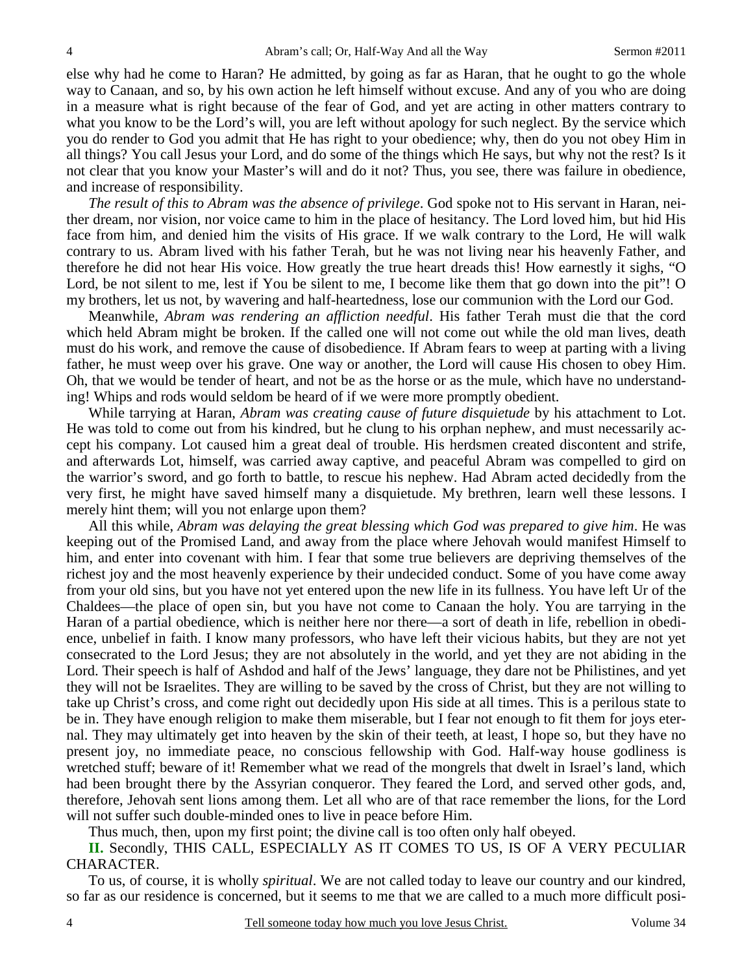else why had he come to Haran? He admitted, by going as far as Haran, that he ought to go the whole way to Canaan, and so, by his own action he left himself without excuse. And any of you who are doing in a measure what is right because of the fear of God, and yet are acting in other matters contrary to what you know to be the Lord's will, you are left without apology for such neglect. By the service which you do render to God you admit that He has right to your obedience; why, then do you not obey Him in all things? You call Jesus your Lord, and do some of the things which He says, but why not the rest? Is it not clear that you know your Master's will and do it not? Thus, you see, there was failure in obedience, and increase of responsibility.

*The result of this to Abram was the absence of privilege*. God spoke not to His servant in Haran, neither dream, nor vision, nor voice came to him in the place of hesitancy. The Lord loved him, but hid His face from him, and denied him the visits of His grace. If we walk contrary to the Lord, He will walk contrary to us. Abram lived with his father Terah, but he was not living near his heavenly Father, and therefore he did not hear His voice. How greatly the true heart dreads this! How earnestly it sighs, "O Lord, be not silent to me, lest if You be silent to me, I become like them that go down into the pit"! O my brothers, let us not, by wavering and half-heartedness, lose our communion with the Lord our God.

Meanwhile, *Abram was rendering an affliction needful*. His father Terah must die that the cord which held Abram might be broken. If the called one will not come out while the old man lives, death must do his work, and remove the cause of disobedience. If Abram fears to weep at parting with a living father, he must weep over his grave. One way or another, the Lord will cause His chosen to obey Him. Oh, that we would be tender of heart, and not be as the horse or as the mule, which have no understanding! Whips and rods would seldom be heard of if we were more promptly obedient.

While tarrying at Haran, *Abram was creating cause of future disquietude* by his attachment to Lot. He was told to come out from his kindred, but he clung to his orphan nephew, and must necessarily accept his company. Lot caused him a great deal of trouble. His herdsmen created discontent and strife, and afterwards Lot, himself, was carried away captive, and peaceful Abram was compelled to gird on the warrior's sword, and go forth to battle, to rescue his nephew. Had Abram acted decidedly from the very first, he might have saved himself many a disquietude. My brethren, learn well these lessons. I merely hint them; will you not enlarge upon them?

All this while, *Abram was delaying the great blessing which God was prepared to give him*. He was keeping out of the Promised Land, and away from the place where Jehovah would manifest Himself to him, and enter into covenant with him. I fear that some true believers are depriving themselves of the richest joy and the most heavenly experience by their undecided conduct. Some of you have come away from your old sins, but you have not yet entered upon the new life in its fullness. You have left Ur of the Chaldees—the place of open sin, but you have not come to Canaan the holy. You are tarrying in the Haran of a partial obedience, which is neither here nor there—a sort of death in life, rebellion in obedience, unbelief in faith. I know many professors, who have left their vicious habits, but they are not yet consecrated to the Lord Jesus; they are not absolutely in the world, and yet they are not abiding in the Lord. Their speech is half of Ashdod and half of the Jews' language, they dare not be Philistines, and yet they will not be Israelites. They are willing to be saved by the cross of Christ, but they are not willing to take up Christ's cross, and come right out decidedly upon His side at all times. This is a perilous state to be in. They have enough religion to make them miserable, but I fear not enough to fit them for joys eternal. They may ultimately get into heaven by the skin of their teeth, at least, I hope so, but they have no present joy, no immediate peace, no conscious fellowship with God. Half-way house godliness is wretched stuff; beware of it! Remember what we read of the mongrels that dwelt in Israel's land, which had been brought there by the Assyrian conqueror. They feared the Lord, and served other gods, and, therefore, Jehovah sent lions among them. Let all who are of that race remember the lions, for the Lord will not suffer such double-minded ones to live in peace before Him.

Thus much, then, upon my first point; the divine call is too often only half obeyed.

**II.** Secondly, THIS CALL, ESPECIALLY AS IT COMES TO US, IS OF A VERY PECULIAR CHARACTER.

To us, of course, it is wholly *spiritual*. We are not called today to leave our country and our kindred, so far as our residence is concerned, but it seems to me that we are called to a much more difficult posi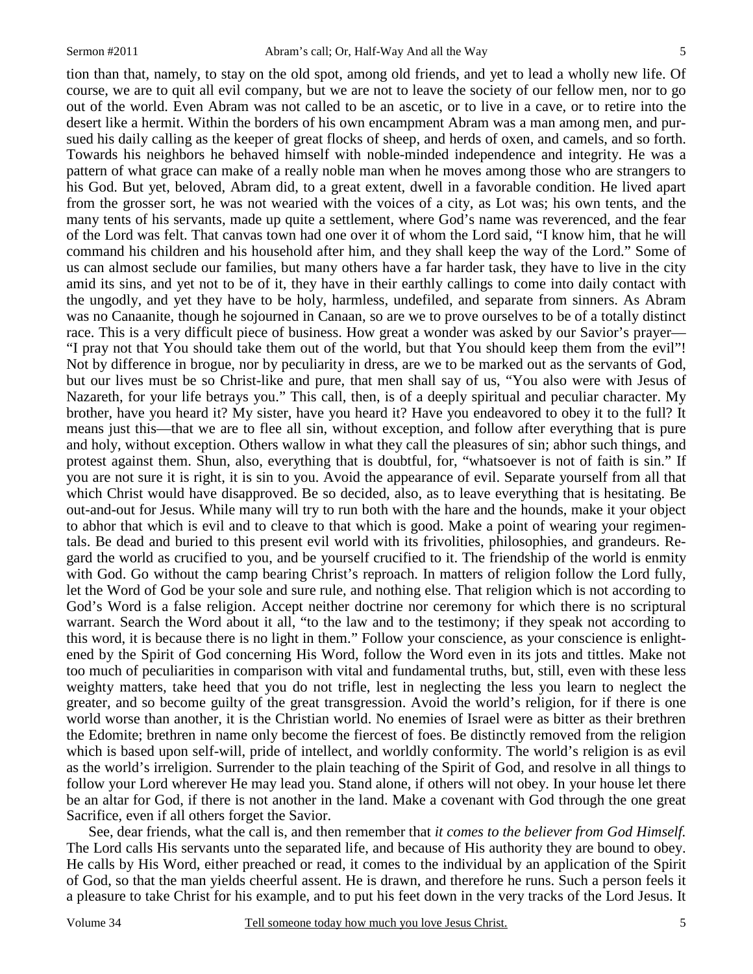tion than that, namely, to stay on the old spot, among old friends, and yet to lead a wholly new life. Of course, we are to quit all evil company, but we are not to leave the society of our fellow men, nor to go out of the world. Even Abram was not called to be an ascetic, or to live in a cave, or to retire into the desert like a hermit. Within the borders of his own encampment Abram was a man among men, and pursued his daily calling as the keeper of great flocks of sheep, and herds of oxen, and camels, and so forth. Towards his neighbors he behaved himself with noble-minded independence and integrity. He was a pattern of what grace can make of a really noble man when he moves among those who are strangers to his God. But yet, beloved, Abram did, to a great extent, dwell in a favorable condition. He lived apart from the grosser sort, he was not wearied with the voices of a city, as Lot was; his own tents, and the many tents of his servants, made up quite a settlement, where God's name was reverenced, and the fear of the Lord was felt. That canvas town had one over it of whom the Lord said, "I know him, that he will command his children and his household after him, and they shall keep the way of the Lord." Some of us can almost seclude our families, but many others have a far harder task, they have to live in the city amid its sins, and yet not to be of it, they have in their earthly callings to come into daily contact with the ungodly, and yet they have to be holy, harmless, undefiled, and separate from sinners. As Abram was no Canaanite, though he sojourned in Canaan, so are we to prove ourselves to be of a totally distinct race. This is a very difficult piece of business. How great a wonder was asked by our Savior's prayer— "I pray not that You should take them out of the world, but that You should keep them from the evil"! Not by difference in brogue, nor by peculiarity in dress, are we to be marked out as the servants of God, but our lives must be so Christ-like and pure, that men shall say of us, "You also were with Jesus of Nazareth, for your life betrays you." This call, then, is of a deeply spiritual and peculiar character. My brother, have you heard it? My sister, have you heard it? Have you endeavored to obey it to the full? It means just this—that we are to flee all sin, without exception, and follow after everything that is pure and holy, without exception. Others wallow in what they call the pleasures of sin; abhor such things, and protest against them. Shun, also, everything that is doubtful, for, "whatsoever is not of faith is sin." If you are not sure it is right, it is sin to you. Avoid the appearance of evil. Separate yourself from all that which Christ would have disapproved. Be so decided, also, as to leave everything that is hesitating. Be out-and-out for Jesus. While many will try to run both with the hare and the hounds, make it your object to abhor that which is evil and to cleave to that which is good. Make a point of wearing your regimentals. Be dead and buried to this present evil world with its frivolities, philosophies, and grandeurs. Regard the world as crucified to you, and be yourself crucified to it. The friendship of the world is enmity with God. Go without the camp bearing Christ's reproach. In matters of religion follow the Lord fully, let the Word of God be your sole and sure rule, and nothing else. That religion which is not according to God's Word is a false religion. Accept neither doctrine nor ceremony for which there is no scriptural warrant. Search the Word about it all, "to the law and to the testimony; if they speak not according to this word, it is because there is no light in them." Follow your conscience, as your conscience is enlightened by the Spirit of God concerning His Word, follow the Word even in its jots and tittles. Make not too much of peculiarities in comparison with vital and fundamental truths, but, still, even with these less weighty matters, take heed that you do not trifle, lest in neglecting the less you learn to neglect the greater, and so become guilty of the great transgression. Avoid the world's religion, for if there is one world worse than another, it is the Christian world. No enemies of Israel were as bitter as their brethren the Edomite; brethren in name only become the fiercest of foes. Be distinctly removed from the religion which is based upon self-will, pride of intellect, and worldly conformity. The world's religion is as evil as the world's irreligion. Surrender to the plain teaching of the Spirit of God, and resolve in all things to follow your Lord wherever He may lead you. Stand alone, if others will not obey. In your house let there be an altar for God, if there is not another in the land. Make a covenant with God through the one great Sacrifice, even if all others forget the Savior.

See, dear friends, what the call is, and then remember that *it comes to the believer from God Himself.*  The Lord calls His servants unto the separated life, and because of His authority they are bound to obey. He calls by His Word, either preached or read, it comes to the individual by an application of the Spirit of God, so that the man yields cheerful assent. He is drawn, and therefore he runs. Such a person feels it a pleasure to take Christ for his example, and to put his feet down in the very tracks of the Lord Jesus. It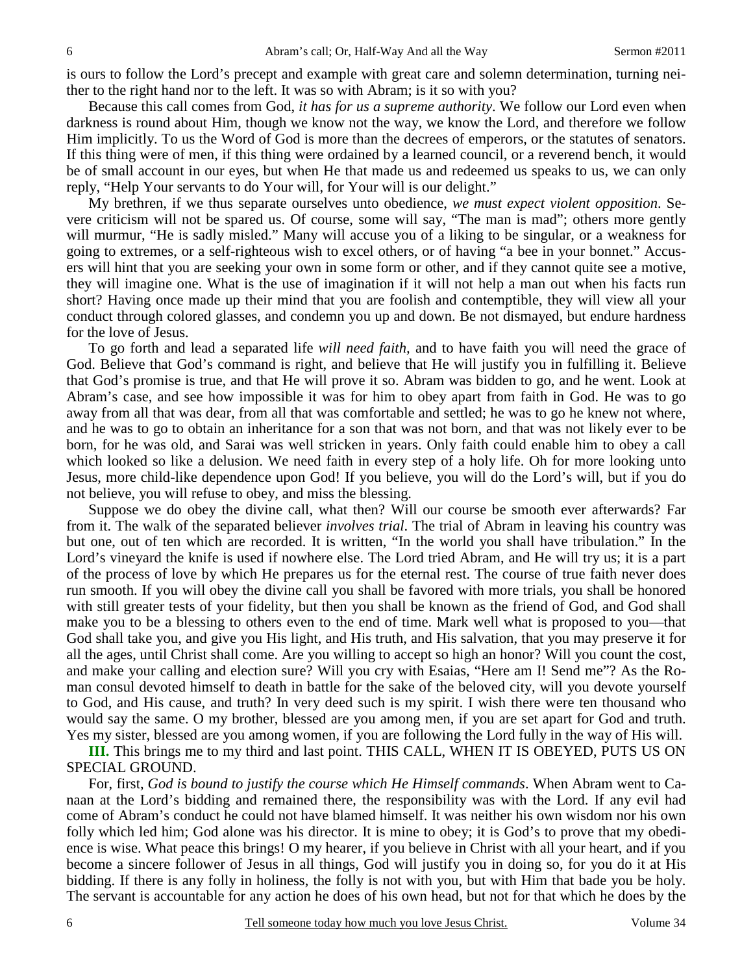is ours to follow the Lord's precept and example with great care and solemn determination, turning neither to the right hand nor to the left. It was so with Abram; is it so with you?

Because this call comes from God, *it has for us a supreme authority*. We follow our Lord even when darkness is round about Him, though we know not the way, we know the Lord, and therefore we follow Him implicitly. To us the Word of God is more than the decrees of emperors, or the statutes of senators. If this thing were of men, if this thing were ordained by a learned council, or a reverend bench, it would be of small account in our eyes, but when He that made us and redeemed us speaks to us, we can only reply, "Help Your servants to do Your will, for Your will is our delight."

My brethren, if we thus separate ourselves unto obedience, *we must expect violent opposition*. Severe criticism will not be spared us. Of course, some will say, "The man is mad"; others more gently will murmur, "He is sadly misled." Many will accuse you of a liking to be singular, or a weakness for going to extremes, or a self-righteous wish to excel others, or of having "a bee in your bonnet." Accusers will hint that you are seeking your own in some form or other, and if they cannot quite see a motive, they will imagine one. What is the use of imagination if it will not help a man out when his facts run short? Having once made up their mind that you are foolish and contemptible, they will view all your conduct through colored glasses, and condemn you up and down. Be not dismayed, but endure hardness for the love of Jesus.

To go forth and lead a separated life *will need faith,* and to have faith you will need the grace of God. Believe that God's command is right, and believe that He will justify you in fulfilling it. Believe that God's promise is true, and that He will prove it so. Abram was bidden to go, and he went. Look at Abram's case, and see how impossible it was for him to obey apart from faith in God. He was to go away from all that was dear, from all that was comfortable and settled; he was to go he knew not where, and he was to go to obtain an inheritance for a son that was not born, and that was not likely ever to be born, for he was old, and Sarai was well stricken in years. Only faith could enable him to obey a call which looked so like a delusion. We need faith in every step of a holy life. Oh for more looking unto Jesus, more child-like dependence upon God! If you believe, you will do the Lord's will, but if you do not believe, you will refuse to obey, and miss the blessing.

Suppose we do obey the divine call, what then? Will our course be smooth ever afterwards? Far from it. The walk of the separated believer *involves trial*. The trial of Abram in leaving his country was but one, out of ten which are recorded. It is written, "In the world you shall have tribulation." In the Lord's vineyard the knife is used if nowhere else. The Lord tried Abram, and He will try us; it is a part of the process of love by which He prepares us for the eternal rest. The course of true faith never does run smooth. If you will obey the divine call you shall be favored with more trials, you shall be honored with still greater tests of your fidelity, but then you shall be known as the friend of God, and God shall make you to be a blessing to others even to the end of time. Mark well what is proposed to you—that God shall take you, and give you His light, and His truth, and His salvation, that you may preserve it for all the ages, until Christ shall come. Are you willing to accept so high an honor? Will you count the cost, and make your calling and election sure? Will you cry with Esaias, "Here am I! Send me"? As the Roman consul devoted himself to death in battle for the sake of the beloved city, will you devote yourself to God, and His cause, and truth? In very deed such is my spirit. I wish there were ten thousand who would say the same. O my brother, blessed are you among men, if you are set apart for God and truth. Yes my sister, blessed are you among women, if you are following the Lord fully in the way of His will.

**III.** This brings me to my third and last point. THIS CALL, WHEN IT IS OBEYED, PUTS US ON SPECIAL GROUND.

For, first, *God is bound to justify the course which He Himself commands*. When Abram went to Canaan at the Lord's bidding and remained there, the responsibility was with the Lord. If any evil had come of Abram's conduct he could not have blamed himself. It was neither his own wisdom nor his own folly which led him; God alone was his director. It is mine to obey; it is God's to prove that my obedience is wise. What peace this brings! O my hearer, if you believe in Christ with all your heart, and if you become a sincere follower of Jesus in all things, God will justify you in doing so, for you do it at His bidding. If there is any folly in holiness, the folly is not with you, but with Him that bade you be holy. The servant is accountable for any action he does of his own head, but not for that which he does by the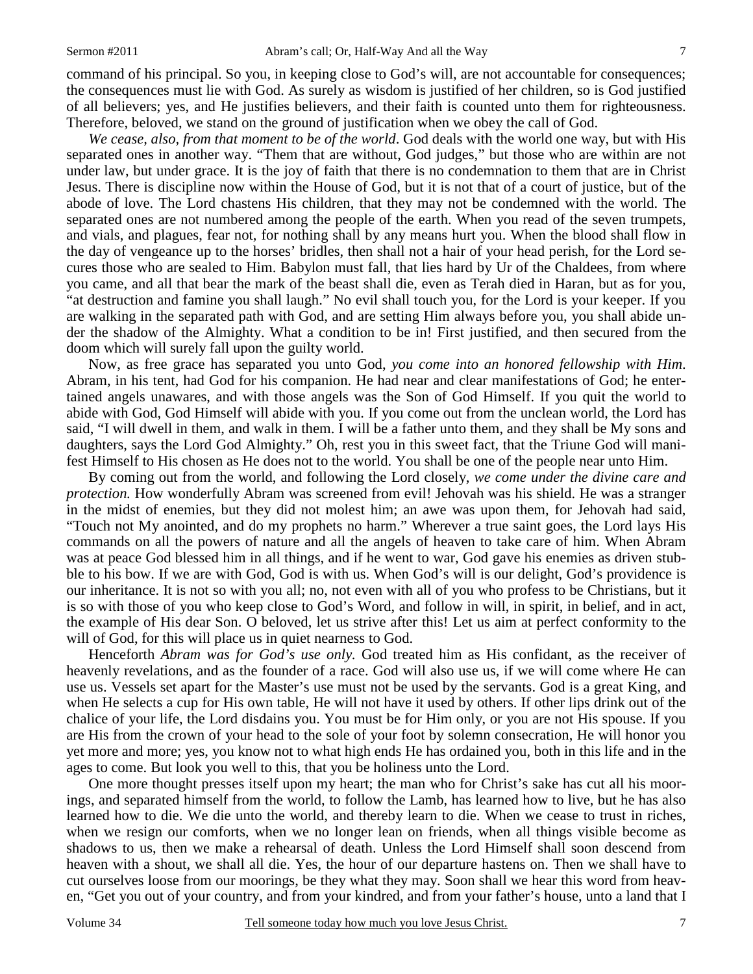command of his principal. So you, in keeping close to God's will, are not accountable for consequences; the consequences must lie with God. As surely as wisdom is justified of her children, so is God justified of all believers; yes, and He justifies believers, and their faith is counted unto them for righteousness. Therefore, beloved, we stand on the ground of justification when we obey the call of God.

*We cease, also, from that moment to be of the world*. God deals with the world one way, but with His separated ones in another way. "Them that are without, God judges," but those who are within are not under law, but under grace. It is the joy of faith that there is no condemnation to them that are in Christ Jesus. There is discipline now within the House of God, but it is not that of a court of justice, but of the abode of love. The Lord chastens His children, that they may not be condemned with the world. The separated ones are not numbered among the people of the earth. When you read of the seven trumpets, and vials, and plagues, fear not, for nothing shall by any means hurt you. When the blood shall flow in the day of vengeance up to the horses' bridles, then shall not a hair of your head perish, for the Lord secures those who are sealed to Him. Babylon must fall, that lies hard by Ur of the Chaldees, from where you came, and all that bear the mark of the beast shall die, even as Terah died in Haran, but as for you, "at destruction and famine you shall laugh." No evil shall touch you, for the Lord is your keeper. If you are walking in the separated path with God, and are setting Him always before you, you shall abide under the shadow of the Almighty. What a condition to be in! First justified, and then secured from the doom which will surely fall upon the guilty world.

Now, as free grace has separated you unto God, *you come into an honored fellowship with Him*. Abram, in his tent, had God for his companion. He had near and clear manifestations of God; he entertained angels unawares, and with those angels was the Son of God Himself. If you quit the world to abide with God, God Himself will abide with you. If you come out from the unclean world, the Lord has said, "I will dwell in them, and walk in them. I will be a father unto them, and they shall be My sons and daughters, says the Lord God Almighty." Oh, rest you in this sweet fact, that the Triune God will manifest Himself to His chosen as He does not to the world. You shall be one of the people near unto Him.

By coming out from the world, and following the Lord closely, *we come under the divine care and protection.* How wonderfully Abram was screened from evil! Jehovah was his shield. He was a stranger in the midst of enemies, but they did not molest him; an awe was upon them, for Jehovah had said, "Touch not My anointed, and do my prophets no harm." Wherever a true saint goes, the Lord lays His commands on all the powers of nature and all the angels of heaven to take care of him. When Abram was at peace God blessed him in all things, and if he went to war, God gave his enemies as driven stubble to his bow. If we are with God, God is with us. When God's will is our delight, God's providence is our inheritance. It is not so with you all; no, not even with all of you who profess to be Christians, but it is so with those of you who keep close to God's Word, and follow in will, in spirit, in belief, and in act, the example of His dear Son. O beloved, let us strive after this! Let us aim at perfect conformity to the will of God, for this will place us in quiet nearness to God.

Henceforth *Abram was for God's use only.* God treated him as His confidant, as the receiver of heavenly revelations, and as the founder of a race. God will also use us, if we will come where He can use us. Vessels set apart for the Master's use must not be used by the servants. God is a great King, and when He selects a cup for His own table, He will not have it used by others. If other lips drink out of the chalice of your life, the Lord disdains you. You must be for Him only, or you are not His spouse. If you are His from the crown of your head to the sole of your foot by solemn consecration, He will honor you yet more and more; yes, you know not to what high ends He has ordained you, both in this life and in the ages to come. But look you well to this, that you be holiness unto the Lord.

One more thought presses itself upon my heart; the man who for Christ's sake has cut all his moorings, and separated himself from the world, to follow the Lamb, has learned how to live, but he has also learned how to die. We die unto the world, and thereby learn to die. When we cease to trust in riches, when we resign our comforts, when we no longer lean on friends, when all things visible become as shadows to us, then we make a rehearsal of death. Unless the Lord Himself shall soon descend from heaven with a shout, we shall all die. Yes, the hour of our departure hastens on. Then we shall have to cut ourselves loose from our moorings, be they what they may. Soon shall we hear this word from heaven, "Get you out of your country, and from your kindred, and from your father's house, unto a land that I